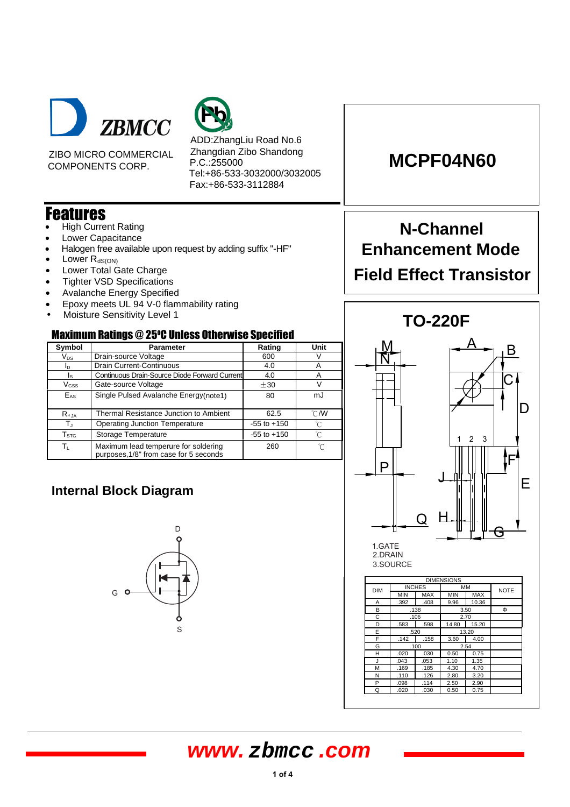



ZIBO MICRO COMMERCIAL COMPONENTS CORP.

ADD:ZhangLiu Road No.6 Zhangdian Zibo Shandong P.C.:255000 Tel:+86-533-3032000/3032005 Fax:+86-533-3112884

### Features

- **High Current Rating**
- Lower Capacitance
- Halogen free available upon request by adding suffix "-HF"
- Lower  $R_{dS(ON)}$
- Lower Total Gate Charge
- Tighter VSD Specifications
- Avalanche Energy Specified
- Epoxy meets UL 94 V-0 flammability rating
- Moisture Sensitivity Level 1

#### Maximum Ratings @ 25 <sup>O</sup>C Unless Otherwise Specified

| Symbol                     | <b>Parameter</b>                                                               | Rating          | Unit           |  |  |  |
|----------------------------|--------------------------------------------------------------------------------|-----------------|----------------|--|--|--|
| $\mathsf{V}_{\mathsf{DS}}$ | Drain-source Voltage                                                           | 600             | V              |  |  |  |
| ΙD                         | Drain Current-Continuous                                                       | 4.0             | A              |  |  |  |
| ls.                        | Continuous Drain-Source Diode Forward Current                                  | Α               |                |  |  |  |
| $V_{GSS}$                  | Gate-source Voltage                                                            | ±30             | V              |  |  |  |
| $E_{AS}$                   | Single Pulsed Avalanche Energy(note1)                                          | 80              | mJ             |  |  |  |
| $R_{\theta$ JA             | Thermal Resistance Junction to Ambient                                         | 62.5            | $^{\circ}$ C/W |  |  |  |
| $\mathsf{T}_\mathrm{J}$    | <b>Operating Junction Temperature</b>                                          | $-55$ to $+150$ | °C             |  |  |  |
| ${\sf T}_{\text{STG}}$     | Storage Temperature                                                            | $-55$ to $+150$ | °C             |  |  |  |
| $\mathsf{T}_\mathsf{L}$    | Maximum lead temperure for soldering<br>purposes, 1/8" from case for 5 seconds | 260             | 'n             |  |  |  |

### **Internal Block Diagram**



## **MCPF04N60**

# **N-Channel Enhancement Mode Field Effect Transistor**



2.DRAIN 3.SOURCE

|            |            |               | <b>DIMENSIONS</b> |            |             |
|------------|------------|---------------|-------------------|------------|-------------|
| <b>DIM</b> |            | <b>INCHES</b> | MM                |            | <b>NOTE</b> |
|            | <b>MIN</b> | <b>MAX</b>    | <b>MIN</b>        | <b>MAX</b> |             |
| А          | .392       | .408          | 9.96              | 10.36      |             |
| в          |            | .138          |                   | 3.50       | Ф           |
| С          |            | .106          |                   | 2.70       |             |
| D          | .583       | .598          | 14.80             | 15.20      |             |
| E          |            | .520          |                   | 13.20      |             |
| F          | .142       | .158          | 3.60              | 4.00       |             |
| G          |            | .100          |                   | 2.54       |             |
| н          | .020       | .030          | 0.50              | 0.75       |             |
| J          | .043       | .053          | 1.10              | 1.35       |             |
| M          | .169       | .185          | 4.30              | 4.70       |             |
| N          | .110       | .126          | 2.80              | 3.20       |             |
| P          | .098       | .114          | 2.50              | 2.90       |             |
| Q          | .020       | .030          | 0.50              | 0.75       |             |

### **www. zbmcc .com**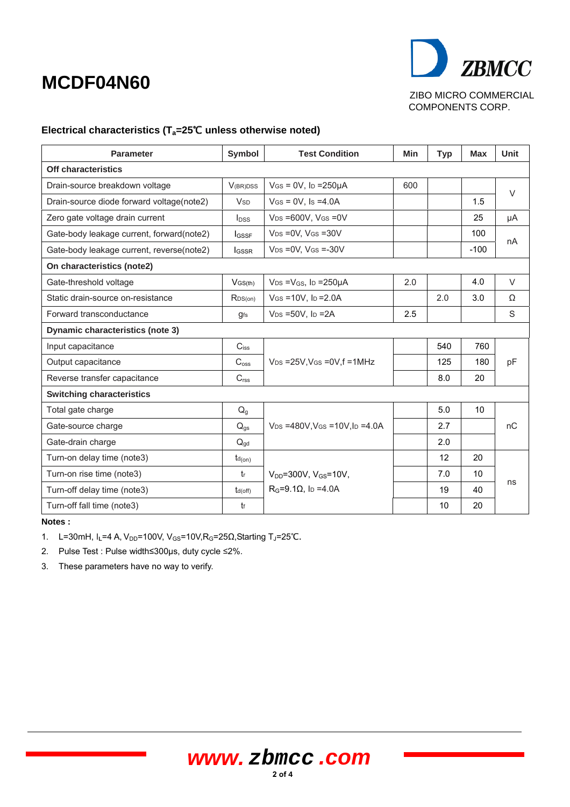# **MCDF04N60**



ZIBO MICRO COMMERCIAL COMPONENTS CORP.

### Electrical characteristics (T<sub>a</sub>=25<sup>°</sup>C unless otherwise noted)

| <b>Parameter</b>                          | Symbol                   | <b>Test Condition</b>                           | Min | <b>Typ</b> | <b>Max</b> | <b>Unit</b> |
|-------------------------------------------|--------------------------|-------------------------------------------------|-----|------------|------------|-------------|
| <b>Off characteristics</b>                |                          |                                                 |     |            |            |             |
| Drain-source breakdown voltage            | <b>V</b> (BR)DSS         | $V$ GS = 0V, ID = 250 $\mu$ A<br>600            |     |            |            | $\vee$      |
| Drain-source diode forward voltage(note2) | <b>V<sub>SD</sub></b>    | $V$ Gs = 0V, Is = 4.0A                          |     |            | 1.5        |             |
| Zero gate voltage drain current           | $I_{DSS}$                | $V_{DS} = 600V$ , $V_{GS} = 0V$                 |     |            | 25         | μA          |
| Gate-body leakage current, forward(note2) | $I_{GSSF}$               | $V_{DS} = 0V$ , $V_{GS} = 30V$                  |     |            | 100        | nA          |
| Gate-body leakage current, reverse(note2) | <b>I</b> GSSR            | $V_{DS} = 0V$ . $V_{GS} = -30V$                 |     |            | $-100$     |             |
| On characteristics (note2)                |                          |                                                 |     |            |            |             |
| Gate-threshold voltage                    | $V$ GS(th)               | $V_{DS} = V_{GS}$ , lp = 250 $\mu$ A            | 2.0 |            | 4.0        | $\vee$      |
| Static drain-source on-resistance         | R <sub>DS(on)</sub>      | $V$ GS = 10V, lp = 2.0A                         |     | 2.0        | 3.0        | $\Omega$    |
| Forward transconductance                  | <b>gfs</b>               | $V_{DS} = 50V$ , $I_D = 2A$                     | 2.5 |            |            | S           |
| <b>Dynamic characteristics (note 3)</b>   |                          |                                                 |     |            |            |             |
| Input capacitance                         | $C_{iss}$                |                                                 |     | 540        | 760        |             |
| Output capacitance                        | $C_{\text{oss}}$         | $V_{DS}$ =25V, V <sub>GS</sub> = 0V, f = 1MHz   |     | 125        | 180        | pF          |
| Reverse transfer capacitance              | C <sub>rss</sub>         |                                                 |     | 8.0        | 20         |             |
| <b>Switching characteristics</b>          |                          |                                                 |     |            |            |             |
| Total gate charge                         | $Q_g$                    |                                                 |     | 5.0        | 10         |             |
| Gate-source charge                        | $\mathsf{Q}_{\text{gs}}$ | $V_{DS} = 480V$ , $V_{GS} = 10V$ , $I_D = 4.0A$ |     | 2.7        |            | nC          |
| Gate-drain charge                         | $Q_{\text{ad}}$          |                                                 |     | 2.0        |            |             |
| Turn-on delay time (note3)                | $t_{d(on)}$              |                                                 |     | 12         | 20         |             |
| Turn-on rise time (note3)                 | tr                       | $V_{DD} = 300V$ , $V_{GS} = 10V$ ,              |     | 7.0        | 10         |             |
| Turn-off delay time (note3)               | $t_{d(off)}$             | $R_G = 9.1 \Omega$ , lp = 4.0A                  |     | 19         | 40         | ns          |
| Turn-off fall time (note3)                | tf                       |                                                 |     | 10         | 20         |             |

**Notes :** 

1. L=30mH, I<sub>L</sub>=4 A, V<sub>DD</sub>=100V, V<sub>GS</sub>=10V, R<sub>G</sub>=25Ω, Starting T<sub>J</sub>=25°C.

2. Pulse Test : Pulse width≤300µs, duty cycle ≤2%.

3. These parameters have no way to verify.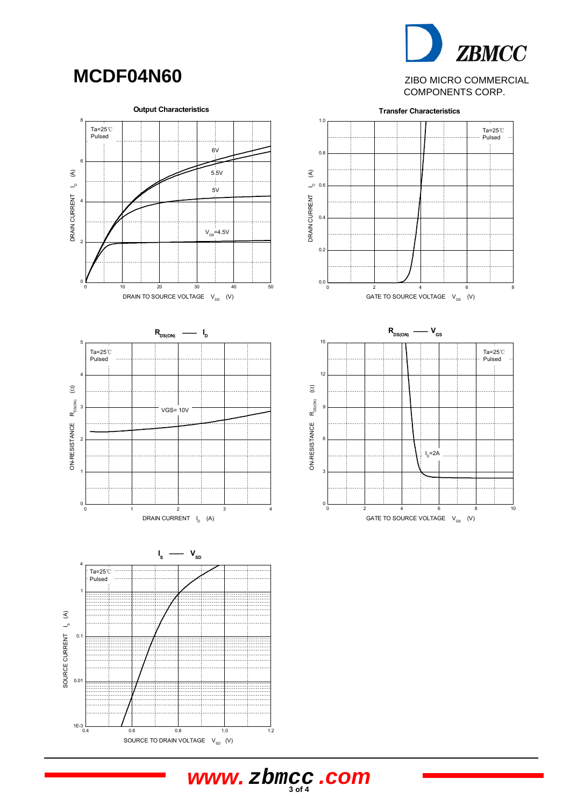## **MCDF04N60**

**ZBMCC** ZIBO MICRO COMMERCIAL



**3 of 4 www. zbmcc .com**